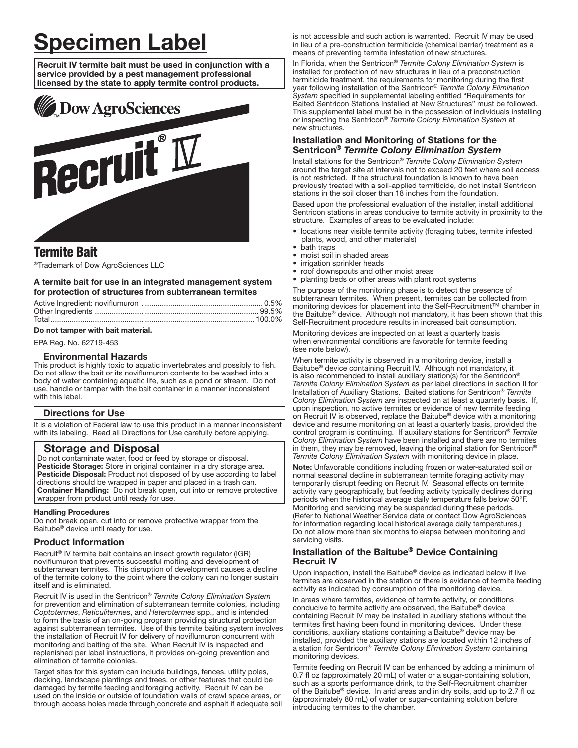# Specimen Label

Recruit IV termite bait must be used in conjunction with a service provided by a pest management professional licensed by the state to apply termite control products.



# Termite Bait

®Trademark of Dow AgroSciences LLC

### A termite bait for use in an integrated management system for protection of structures from subterranean termites

# Do not tamper with bait material.

EPA Reg. No. 62719-453

#### Environmental Hazards

This product is highly toxic to aquatic invertebrates and possibly to fish. Do not allow the bait or its noviflumuron contents to be washed into a body of water containing aquatic life, such as a pond or stream. Do not use, handle or tamper with the bait container in a manner inconsistent with this label.

## Directions for Use

It is a violation of Federal law to use this product in a manner inconsistent with its labeling. Read all Directions for Use carefully before applying.

# Storage and Disposal

Do not contaminate water, food or feed by storage or disposal. Pesticide Storage: Store in original container in a dry storage area. Pesticide Disposal: Product not disposed of by use according to label directions should be wrapped in paper and placed in a trash can. Container Handling: Do not break open, cut into or remove protective wrapper from product until ready for use.

#### ļ Handling Procedures

Do not break open, cut into or remove protective wrapper from the Baitube® device until ready for use.

#### Product Information

Recruit® IV termite bait contains an insect growth regulator (IGR) noviflumuron that prevents successful molting and development of subterranean termites. This disruption of development causes a decline of the termite colony to the point where the colony can no longer sustain itself and is eliminated.

Recruit IV is used in the Sentricon® *Termite Colony Elimination System* for prevention and elimination of subterranean termite colonies, including *Coptotermes*, *Reticulitermes*, and *Heterotermes* spp., and is intended to form the basis of an on-going program providing structural protection against subterranean termites. Use of this termite baiting system involves the installation of Recruit IV for delivery of noviflumuron concurrent with monitoring and baiting of the site. When Recruit IV is inspected and replenished per label instructions, it provides on-going prevention and elimination of termite colonies.

Target sites for this system can include buildings, fences, utility poles, decking, landscape plantings and trees, or other features that could be damaged by termite feeding and foraging activity. Recruit IV can be used on the inside or outside of foundation walls of crawl space areas, or through access holes made through concrete and asphalt if adequate soil is not accessible and such action is warranted. Recruit IV may be used in lieu of a pre-construction termiticide (chemical barrier) treatment as a means of preventing termite infestation of new structures.

In Florida, when the Sentricon® *Termite Colony Elimination System* is installed for protection of new structures in lieu of a preconstruction termiticide treatment, the requirements for monitoring during the first year following installation of the Sentricon® *Termite Colony Elimination System* specified in supplemental labeling entitled "Requirements for Baited Sentricon Stations Installed at New Structures" must be followed. This supplemental label must be in the possession of individuals installing or inspecting the Sentricon® *Termite Colony Elimination System* at new structures.

# Installation and Monitoring of Stations for the Sentricon® *Termite Colony Elimination System*

Install stations for the Sentricon® *Termite Colony Elimination System* around the target site at intervals not to exceed 20 feet where soil access is not restricted. If the structural foundation is known to have been previously treated with a soil-applied termiticide, do not install Sentricon stations in the soil closer than 18 inches from the foundation.

Based upon the professional evaluation of the installer, install additional Sentricon stations in areas conducive to termite activity in proximity to the structure. Examples of areas to be evaluated include:

- locations near visible termite activity (foraging tubes, termite infested plants, wood, and other materials)
- hath traps
- moist soil in shaded areas
- irrigation sprinkler heads
- roof downspouts and other moist areas
- planting beds or other areas with plant root systems

The purpose of the monitoring phase is to detect the presence of subterranean termites. When present, termites can be collected from monitoring devices for placement into the Self-Recruitment™ chamber in the Baitube® device. Although not mandatory, it has been shown that this Self-Recruitment procedure results in increased bait consumption.

Monitoring devices are inspected on at least a quarterly basis when environmental conditions are favorable for termite feeding (see note below).

When termite activity is observed in a monitoring device, install a Baitube® device containing Recruit IV. Although not mandatory, it is also recommended to install auxiliary station(s) for the Sentricon® *Termite Colony Elimination System* as per label directions in section II for Installation of Auxiliary Stations. Baited stations for Sentricon® *Termite Colony Elimination System* are inspected on at least a quarterly basis. If, upon inspection, no active termites or evidence of new termite feeding on Recruit IV is observed, replace the Baitube® device with a monitoring device and resume monitoring on at least a quarterly basis, provided the control program is continuing. If auxiliary stations for Sentricon® *Termite Colony Elimination System* have been installed and there are no termites in them, they may be removed, leaving the original station for Sentricon® *Termite Colony Elimination System* with monitoring device in place.

Note: Unfavorable conditions including frozen or water-saturated soil or normal seasonal decline in subterranean termite foraging activity may temporarily disrupt feeding on Recruit IV. Seasonal effects on termite activity vary geographically, but feeding activity typically declines during periods when the historical average daily temperature falls below 50°F. Monitoring and servicing may be suspended during these periods. (Refer to National Weather Service data or contact Dow AgroSciences for information regarding local historical average daily temperatures.) Do not allow more than six months to elapse between monitoring and servicing visits.

# Installation of the Baitube® Device Containing Recruit IV

Upon inspection, install the Baitube® device as indicated below if live termites are observed in the station or there is evidence of termite feeding activity as indicated by consumption of the monitoring device.

In areas where termites, evidence of termite activity, or conditions conducive to termite activity are observed, the Baitube® device containing Recruit IV may be installed in auxiliary stations without the termites first having been found in monitoring devices. Under these conditions, auxiliary stations containing a Baitube® device may be installed, provided the auxiliary stations are located within 12 inches of a station for Sentricon® *Termite Colony Elimination System* containing monitoring devices.

Termite feeding on Recruit IV can be enhanced by adding a minimum of 0.7 fl oz (approximately 20 mL) of water or a sugar-containing solution, such as a sports performance drink, to the Self-Recruitment chamber of the Baitube® device. In arid areas and in dry soils, add up to 2.7 fl oz (approximately 80 mL) of water or sugar-containing solution before introducing termites to the chamber.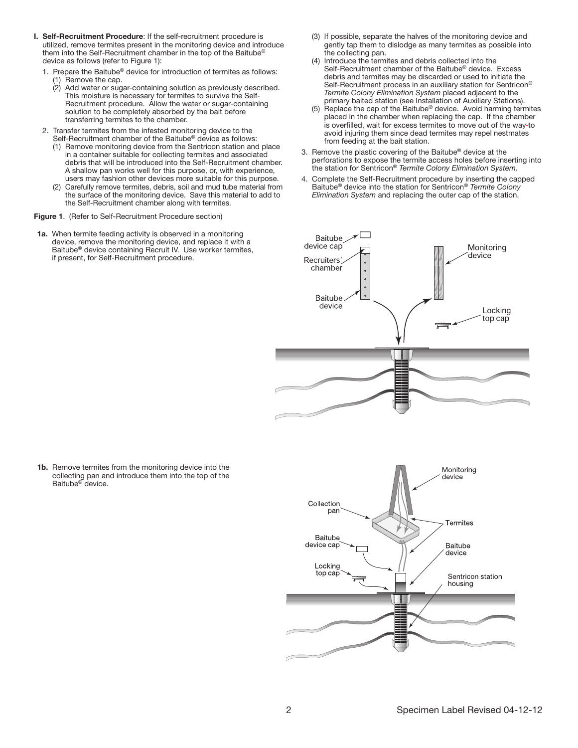- I. Self-Recruitment Procedure: If the self-recruitment procedure is utilized, remove termites present in the monitoring device and introduce them into the Self-Recruitment chamber in the top of the Baitube® device as follows (refer to Figure 1):
	- 1. Prepare the Baitube® device for introduction of termites as follows:
		- (1) Remove the cap.
		- (2) Add water or sugar-containing solution as previously described. This moisture is necessary for termites to survive the Self-Recruitment procedure. Allow the water or sugar-containing solution to be completely absorbed by the bait before transferring termites to the chamber.
- 2. Transfer termites from the infested monitoring device to the Self-Recruitment chamber of the Baitube® device as follows:
	- (1) Remove monitoring device from the Sentricon station and place in a container suitable for collecting termites and associated debris that will be introduced into the Self-Recruitment chamber. A shallow pan works well for this purpose, or, with experience, users may fashion other devices more suitable for this purpose.
	- (2) Carefully remove termites, debris, soil and mud tube material from the surface of the monitoring device. Save this material to add to the Self-Recruitment chamber along with termites.
- Figure 1. (Refer to Self-Recruitment Procedure section)
- 1a. When termite feeding activity is observed in a monitoring device, remove the monitoring device, and replace it with a Baitube® device containing Recruit IV. Use worker termites, if present, for Self-Recruitment procedure.
- (3) If possible, separate the halves of the monitoring device and gently tap them to dislodge as many termites as possible into the collecting pan.
- (4) Introduce the termites and debris collected into the Self-Recruitment chamber of the Baitube® device. Excess debris and termites may be discarded or used to initiate the Self-Recruitment process in an auxiliary station for Sentricon® *Termite Colony Elimination System* placed adjacent to the primary baited station (see Installation of Auxiliary Stations).
- (5) Replace the cap of the Baitube® device. Avoid harming termites placed in the chamber when replacing the cap. If the chamber is overfilled, wait for excess termites to move out of the way to avoid injuring them since dead termites may repel nestmates from feeding at the bait station.
- 3. Remove the plastic covering of the Baitube® device at the perforations to expose the termite access holes before inserting into the station for Sentricon® *Termite Colony Elimination System*.
- 4. Complete the Self-Recruitment procedure by inserting the capped Baitube® device into the station for Sentricon® *Termite Colony Elimination System* and replacing the outer cap of the station.



1b. Remove termites from the monitoring device into the collecting pan and introduce them into the top of the Baitube® device.